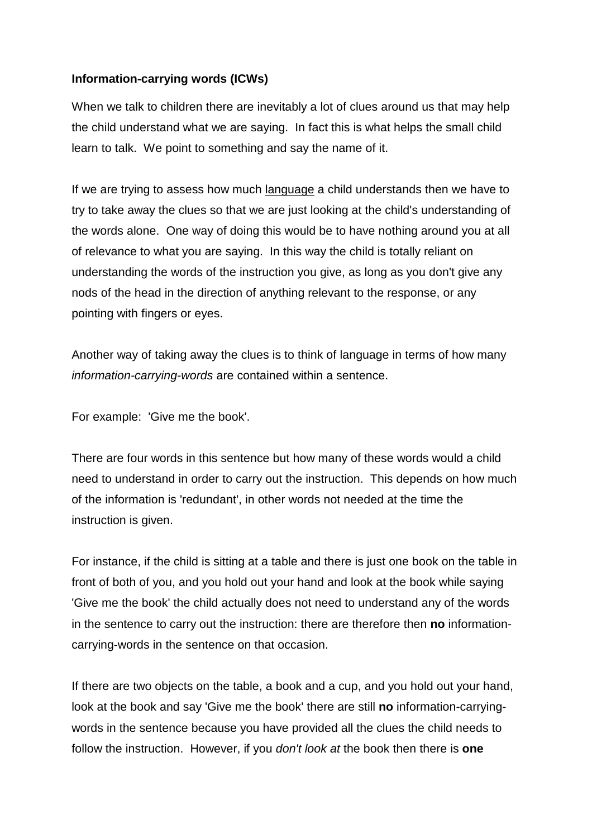# **Information-carrying words (ICWs)**

When we talk to children there are inevitably a lot of clues around us that may help the child understand what we are saying. In fact this is what helps the small child learn to talk. We point to something and say the name of it.

If we are trying to assess how much language a child understands then we have to try to take away the clues so that we are just looking at the child's understanding of the words alone. One way of doing this would be to have nothing around you at all of relevance to what you are saying. In this way the child is totally reliant on understanding the words of the instruction you give, as long as you don't give any nods of the head in the direction of anything relevant to the response, or any pointing with fingers or eyes.

Another way of taking away the clues is to think of language in terms of how many information-carrying-words are contained within a sentence.

For example: 'Give me the book'.

There are four words in this sentence but how many of these words would a child need to understand in order to carry out the instruction. This depends on how much of the information is 'redundant', in other words not needed at the time the instruction is given.

For instance, if the child is sitting at a table and there is just one book on the table in front of both of you, and you hold out your hand and look at the book while saying 'Give me the book' the child actually does not need to understand any of the words in the sentence to carry out the instruction: there are therefore then **no** informationcarrying-words in the sentence on that occasion.

If there are two objects on the table, a book and a cup, and you hold out your hand, look at the book and say 'Give me the book' there are still **no** information-carryingwords in the sentence because you have provided all the clues the child needs to follow the instruction. However, if you don't look at the book then there is **one**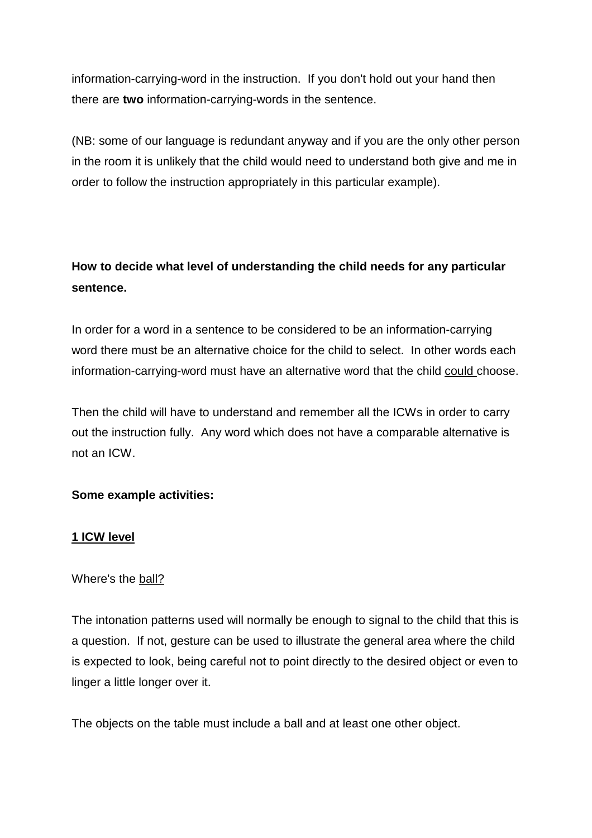information-carrying-word in the instruction. If you don't hold out your hand then there are **two** information-carrying-words in the sentence.

(NB: some of our language is redundant anyway and if you are the only other person in the room it is unlikely that the child would need to understand both give and me in order to follow the instruction appropriately in this particular example).

# **How to decide what level of understanding the child needs for any particular sentence.**

In order for a word in a sentence to be considered to be an information-carrying word there must be an alternative choice for the child to select. In other words each information-carrying-word must have an alternative word that the child could choose.

Then the child will have to understand and remember all the ICWs in order to carry out the instruction fully. Any word which does not have a comparable alternative is not an ICW.

# **Some example activities:**

# **1 ICW level**

# Where's the ball?

The intonation patterns used will normally be enough to signal to the child that this is a question. If not, gesture can be used to illustrate the general area where the child is expected to look, being careful not to point directly to the desired object or even to linger a little longer over it.

The objects on the table must include a ball and at least one other object.